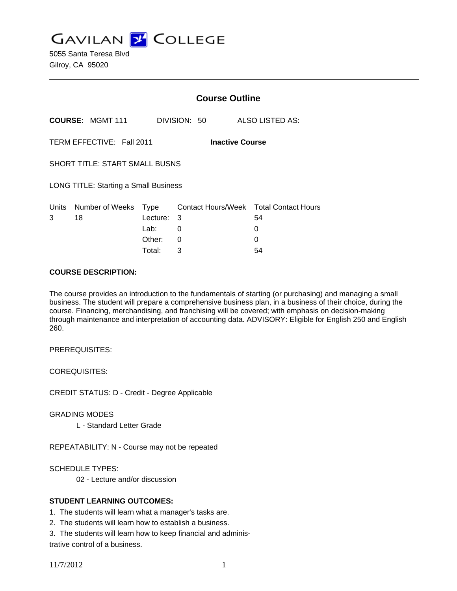**GAVILAN J COLLEGE** 

5055 Santa Teresa Blvd Gilroy, CA 95020

|                                                     |                            | <b>Course Outline</b> |              |                                        |
|-----------------------------------------------------|----------------------------|-----------------------|--------------|----------------------------------------|
|                                                     | <b>COURSE: MGMT 111</b>    |                       | DIVISION: 50 | ALSO LISTED AS:                        |
| TERM EFFECTIVE: Fall 2011<br><b>Inactive Course</b> |                            |                       |              |                                        |
| SHORT TITLE: START SMALL BUSNS                      |                            |                       |              |                                        |
| <b>LONG TITLE: Starting a Small Business</b>        |                            |                       |              |                                        |
|                                                     | Units Number of Weeks Type |                       |              | Contact Hours/Week Total Contact Hours |
| 3                                                   | 18                         | Lecture: 3            |              | 54                                     |
|                                                     |                            | Lab: ___              | 0            | 0                                      |
|                                                     |                            | Other:                | 0            | 0                                      |
|                                                     |                            | Total:                | 3            | 54                                     |

#### **COURSE DESCRIPTION:**

The course provides an introduction to the fundamentals of starting (or purchasing) and managing a small business. The student will prepare a comprehensive business plan, in a business of their choice, during the course. Financing, merchandising, and franchising will be covered; with emphasis on decision-making through maintenance and interpretation of accounting data. ADVISORY: Eligible for English 250 and English 260.

PREREQUISITES:

COREQUISITES:

CREDIT STATUS: D - Credit - Degree Applicable

GRADING MODES

L - Standard Letter Grade

REPEATABILITY: N - Course may not be repeated

SCHEDULE TYPES:

02 - Lecture and/or discussion

### **STUDENT LEARNING OUTCOMES:**

1. The students will learn what a manager's tasks are.

2. The students will learn how to establish a business.

3. The students will learn how to keep financial and adminis-

trative control of a business.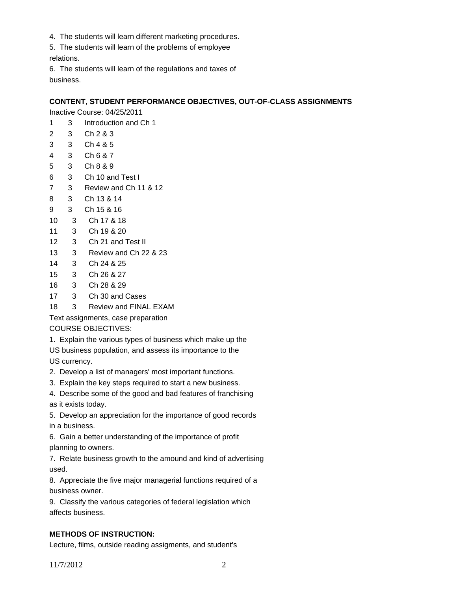- 4. The students will learn different marketing procedures.
- 5. The students will learn of the problems of employee

relations.

6. The students will learn of the regulations and taxes of business.

## **CONTENT, STUDENT PERFORMANCE OBJECTIVES, OUT-OF-CLASS ASSIGNMENTS**

Inactive Course: 04/25/2011

- 1 3 Introduction and Ch 1
- 2 3 Ch 2 & 3
- 3 3 Ch 4 & 5
- 4 3 Ch 6 & 7
- 5 3 Ch 8 & 9
- 6 3 Ch 10 and Test I
- 7 3 Review and Ch 11 & 12
- 8 3 Ch 13 & 14
- 9 3 Ch 15 & 16
- 10 3 Ch 17 & 18
- 11 3 Ch 19 & 20
- 12 3 Ch 21 and Test II
- 13 3 Review and Ch 22 & 23
- 14 3 Ch 24 & 25
- 15 3 Ch 26 & 27
- 16 3 Ch 28 & 29
- 17 3 Ch 30 and Cases
- 18 3 Review and FINAL EXAM

Text assignments, case preparation

# COURSE OBJECTIVES:

1. Explain the various types of business which make up the

US business population, and assess its importance to the

US currency.

- 2. Develop a list of managers' most important functions.
- 3. Explain the key steps required to start a new business.
- 4. Describe some of the good and bad features of franchising
- as it exists today.
- 5. Develop an appreciation for the importance of good records in a business.
- 6. Gain a better understanding of the importance of profit planning to owners.
- 7. Relate business growth to the amound and kind of advertising used.

8. Appreciate the five major managerial functions required of a business owner.

9. Classify the various categories of federal legislation which affects business.

# **METHODS OF INSTRUCTION:**

Lecture, films, outside reading assigments, and student's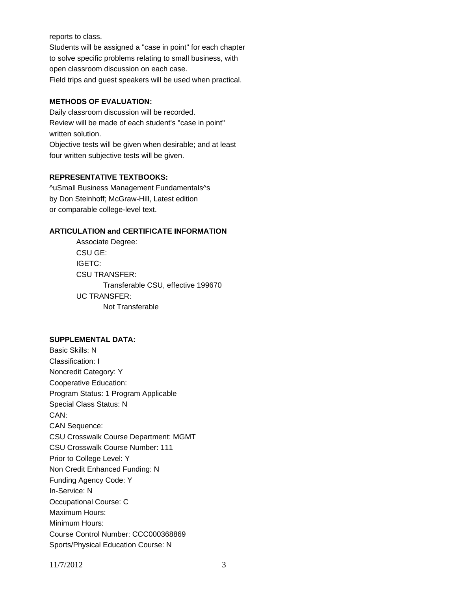reports to class.

Students will be assigned a "case in point" for each chapter to solve specific problems relating to small business, with open classroom discussion on each case. Field trips and guest speakers will be used when practical.

### **METHODS OF EVALUATION:**

Daily classroom discussion will be recorded. Review will be made of each student's "case in point" written solution. Objective tests will be given when desirable; and at least four written subjective tests will be given.

### **REPRESENTATIVE TEXTBOOKS:**

^uSmall Business Management Fundamentals^s by Don Steinhoff; McGraw-Hill, Latest edition or comparable college-level text.

### **ARTICULATION and CERTIFICATE INFORMATION**

 Transferable CSU, effective 199670 UC TRANSFER: Not Transferable Associate Degree: CSU GE: IGETC: CSU TRANSFER:

### **SUPPLEMENTAL DATA:**

Basic Skills: N Classification: I Noncredit Category: Y Cooperative Education: Program Status: 1 Program Applicable Special Class Status: N CAN: CAN Sequence: CSU Crosswalk Course Department: MGMT CSU Crosswalk Course Number: 111 Prior to College Level: Y Non Credit Enhanced Funding: N Funding Agency Code: Y In-Service: N Occupational Course: C Maximum Hours: Minimum Hours: Course Control Number: CCC000368869 Sports/Physical Education Course: N